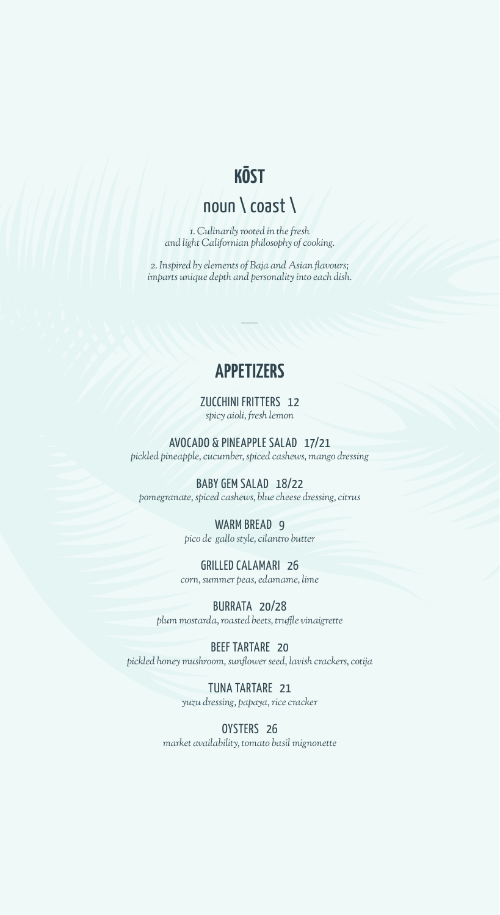## **KŌST**

# noun \ coast \

*1. Culinarily rooted in the fresh and light Californian philosophy of cooking.*

*2. Inspired by elements of Baja and Asian flavours; imparts unique depth and personality into each dish.*

## **APPETIZERS**

#### ZUCCHINI FRITTERS 12 *spicy aioli, fresh lemon*

AVOCADO & PINEAPPLE SALAD 17/21 *pickled pineapple, cucumber, spiced cashews, mango dressing*

BABY GEM SALAD 18/22 *pomegranate, spiced cashews, blue cheese dressing, citrus*

#### WARM BREAD<sub>9</sub> *pico de gallo style, cilantro butter*

GRILLED CALAMARI 26 *corn, summer peas, edamame, lime*

BURRATA 20/28 *plum mostarda, roasted beets, truffle vinaigrette*

BEEF TARTARE 20 *pickled honey mushroom, sunflower seed, lavish crackers, cotija*

> TUNA TARTARE 21 *yuzu dressing, papaya, rice cracker*

OYSTERS 26 *market availability, tomato basil mignonette*